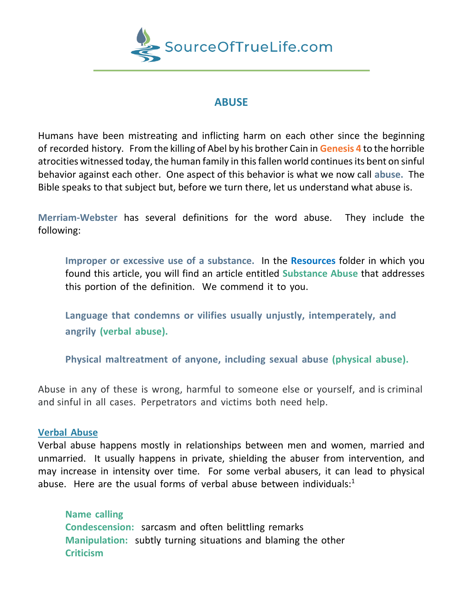

# **ABUSE**

Humans have been mistreating and inflicting harm on each other since the beginning of recorded history. From the killing of Abel by his brother Cain in **Genesis 4** to the horrible atrocities witnessed today, the human family in this fallen world continues its bent on sinful behavior against each other. One aspect of this behavior is what we now call **abuse.** The Bible speaks to that subject but, before we turn there, let us understand what abuse is.

**Merriam-Webster** has several definitions for the word abuse. They include the following:

**Improper or excessive use of a substance.** In the **Resources** folder in which you found this article, you will find an article entitled **Substance Abuse** that addresses this portion of the definition. We commend it to you.

 **Language that condemns or vilifies usually unjustly, intemperately, and angrily (verbal abuse).**

**Physical maltreatment of anyone, including sexual abuse (physical abuse).**

Abuse in any of these is wrong, harmful to someone else or yourself, and is criminal and sinful in all cases. Perpetrators and victims both need help.

## **Verbal Abuse**

Verbal abuse happens mostly in relationships between men and women, married and unmarried. It usually happens in private, shielding the abuser from intervention, and may increase in intensity over time. For some verbal abusers, it can lead to physical abuse. Here are the usual forms of verbal abuse between individuals: $1$ 

**Name calling Condescension:** sarcasm and often belittling remarks **Manipulation:** subtly turning situations and blaming the other **Criticism**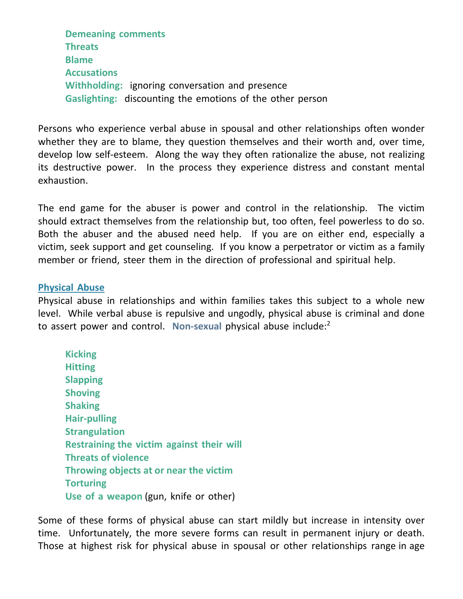**Demeaning comments Threats Blame Accusations Withholding:** ignoring conversation and presence **Gaslighting:** discounting the emotions of the other person

Persons who experience verbal abuse in spousal and other relationships often wonder whether they are to blame, they question themselves and their worth and, over time, develop low self-esteem. Along the way they often rationalize the abuse, not realizing its destructive power. In the process they experience distress and constant mental exhaustion.

The end game for the abuser is power and control in the relationship. The victim should extract themselves from the relationship but, too often, feel powerless to do so. Both the abuser and the abused need help. If you are on either end, especially a victim, seek support and get counseling. If you know a perpetrator or victim as a family member or friend, steer them in the direction of professional and spiritual help.

## **Physical Abuse**

Physical abuse in relationships and within families takes this subject to a whole new level. While verbal abuse is repulsive and ungodly, physical abuse is criminal and done to assert power and control. **Non-sexual** physical abuse include: 2

**Kicking Hitting Slapping Shoving Shaking Hair-pulling Strangulation Restraining the victim against their will Threats of violence Throwing objects at or near the victim Torturing Use of a weapon** (gun, knife or other)

Some of these forms of physical abuse can start mildly but increase in intensity over time. Unfortunately, the more severe forms can result in permanent injury or death. Those at highest risk for physical abuse in spousal or other relationships range in age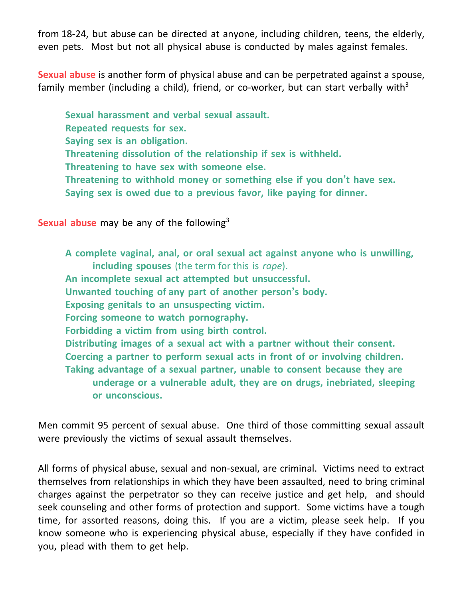from 18-24, but abuse can be directed at anyone, including children, teens, the elderly, even pets. Most but not all physical abuse is conducted by males against females.

**Sexual abuse** is another form of physical abuse and can be perpetrated against a spouse, family member (including a child), friend, or co-worker, but can start verbally with<sup>3</sup>

**Sexual harassment and verbal sexual assault. Repeated requests for sex. Saying sex is an obligation. Threatening dissolution of the relationship if sex is withheld. Threatening to have sex with someone else. Threatening to withhold money or something else if you don't have sex. Saying sex is owed due to a previous favor, like paying for dinner.**

**Sexual abuse** may be any of the following<sup>3</sup>

**A complete vaginal, anal, or oral sexual act against anyone who is unwilling, including spouses** (the term for this is *rape*). **An incomplete sexual act attempted but unsuccessful. Unwanted touching of any part of another person's body. Exposing genitals to an unsuspecting victim. Forcing someone to watch pornography. Forbidding a victim from using birth control. Distributing images of a sexual act with a partner without their consent. Coercing a partner to perform sexual acts in front of or involving children. Taking advantage of a sexual partner, unable to consent because they are underage or a vulnerable adult, they are on drugs, inebriated, sleeping or unconscious.**

Men commit 95 percent of sexual abuse. One third of those committing sexual assault were previously the victims of sexual assault themselves.

All forms of physical abuse, sexual and non-sexual, are criminal. Victims need to extract themselves from relationships in which they have been assaulted, need to bring criminal charges against the perpetrator so they can receive justice and get help, and should seek counseling and other forms of protection and support. Some victims have a tough time, for assorted reasons, doing this. If you are a victim, please seek help. If you know someone who is experiencing physical abuse, especially if they have confided in you, plead with them to get help.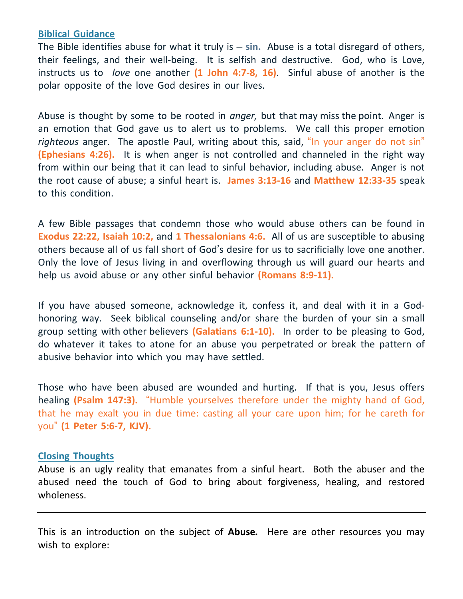## **Biblical Guidance**

The Bible identifies abuse for what it truly is – **sin.** Abuse is a total disregard of others, their feelings, and their well-being. It is selfish and destructive. God, who is Love, instructs us to *love* one another **(1 John 4:7-8, 16)**. Sinful abuse of another is the polar opposite of the love God desires in our lives.

Abuse is thought by some to be rooted in *anger,* but that may miss the point. Anger is an emotion that God gave us to alert us to problems. We call this proper emotion *righteous* anger. The apostle Paul, writing about this, said, "In your anger do not sin" **(Ephesians 4:26).** It is when anger is not controlled and channeled in the right way from within our being that it can lead to sinful behavior, including abuse. Anger is not the root cause of abuse; a sinful heart is. **James 3:13-16** and **Matthew 12:33-35** speak to this condition.

A few Bible passages that condemn those who would abuse others can be found in **Exodus 22:22, Isaiah 10:2,** and **1 Thessalonians 4:6.** All of us are susceptible to abusing others because all of us fall short of God's desire for us to sacrificially love one another. Only the love of Jesus living in and overflowing through us will guard our hearts and help us avoid abuse or any other sinful behavior **(Romans 8:9-11).**

If you have abused someone, acknowledge it, confess it, and deal with it in a Godhonoring way. Seek biblical counseling and/or share the burden of your sin a small group setting with other believers **(Galatians 6:1-10).** In order to be pleasing to God, do whatever it takes to atone for an abuse you perpetrated or break the pattern of abusive behavior into which you may have settled.

Those who have been abused are wounded and hurting. If that is you, Jesus offers healing **(Psalm 147:3).** "Humble yourselves therefore under the mighty hand of God, that he may exalt you in due time: casting all your care upon him; for he careth for you" **(1 Peter 5:6-7, KJV).**

## **Closing Thoughts**

Abuse is an ugly reality that emanates from a sinful heart. Both the abuser and the abused need the touch of God to bring about forgiveness, healing, and restored wholeness.

This is an introduction on the subject of **Abuse***.* Here are other resources you may wish to explore: